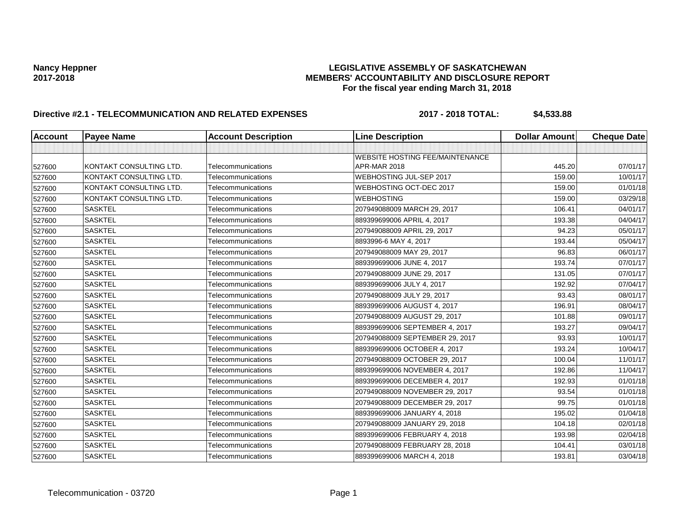# Nancy Heppner<br>LEGISLATIVE ASSEMBLY OF SASKATCHEWAN<br>MEMBERS' ACCOUNTABILITY AND DISCLOSURE REF **2017-2018 MEMBERS' ACCOUNTABILITY AND DISCLOSURE REPORT For the fiscal year ending March 31, 2018**

# **Directive #2.1 - TELECOMMUNICATION AND RELATED EXPENSES 2017 - 2018 TOTAL: \$4,533.88**

| <b>Account</b> | <b>Payee Name</b>       | <b>Account Description</b> | <b>Line Description</b>                | <b>Dollar Amount</b> | <b>Cheque Date</b> |
|----------------|-------------------------|----------------------------|----------------------------------------|----------------------|--------------------|
|                |                         |                            |                                        |                      |                    |
|                |                         |                            | <b>WEBSITE HOSTING FEE/MAINTENANCE</b> |                      |                    |
| 527600         | KONTAKT CONSULTING LTD. | Telecommunications         | APR-MAR 2018                           | 445.20               | 07/01/17           |
| 527600         | KONTAKT CONSULTING LTD. | Telecommunications         | WEBHOSTING JUL-SEP 2017                | 159.00               | 10/01/17           |
| 527600         | KONTAKT CONSULTING LTD. | Telecommunications         | WEBHOSTING OCT-DEC 2017                | 159.00               | 01/01/18           |
| 527600         | KONTAKT CONSULTING LTD. | Telecommunications         | <b>WEBHOSTING</b>                      | 159.00               | 03/29/18           |
| 527600         | <b>SASKTEL</b>          | Telecommunications         | 207949088009 MARCH 29, 2017            | 106.41               | 04/01/17           |
| 527600         | <b>SASKTEL</b>          | Telecommunications         | 889399699006 APRIL 4, 2017             | 193.38               | 04/04/17           |
| 527600         | <b>SASKTEL</b>          | Telecommunications         | 207949088009 APRIL 29, 2017            | 94.23                | 05/01/17           |
| 527600         | <b>SASKTEL</b>          | Telecommunications         | 8893996-6 MAY 4, 2017                  | 193.44               | 05/04/17           |
| 527600         | <b>SASKTEL</b>          | Telecommunications         | 207949088009 MAY 29, 2017              | 96.83                | 06/01/17           |
| 527600         | <b>SASKTEL</b>          | Telecommunications         | 889399699006 JUNE 4, 2017              | 193.74               | 07/01/17           |
| 527600         | <b>SASKTEL</b>          | Telecommunications         | 207949088009 JUNE 29, 2017             | 131.05               | 07/01/17           |
| 527600         | <b>SASKTEL</b>          | Telecommunications         | 889399699006 JULY 4, 2017              | 192.92               | 07/04/17           |
| 527600         | <b>SASKTEL</b>          | Telecommunications         | 207949088009 JULY 29, 2017             | 93.43                | 08/01/17           |
| 527600         | <b>SASKTEL</b>          | Telecommunications         | 889399699006 AUGUST 4, 2017            | 196.91               | 08/04/17           |
| 527600         | <b>SASKTEL</b>          | Telecommunications         | 207949088009 AUGUST 29, 2017           | 101.88               | 09/01/17           |
| 527600         | <b>SASKTEL</b>          | Telecommunications         | 889399699006 SEPTEMBER 4, 2017         | 193.27               | 09/04/17           |
| 527600         | <b>SASKTEL</b>          | Telecommunications         | 207949088009 SEPTEMBER 29, 2017        | 93.93                | 10/01/17           |
| 527600         | <b>SASKTEL</b>          | Telecommunications         | 889399699006 OCTOBER 4, 2017           | 193.24               | 10/04/17           |
| 527600         | <b>SASKTEL</b>          | Telecommunications         | 207949088009 OCTOBER 29, 2017          | 100.04               | 11/01/17           |
| 527600         | <b>SASKTEL</b>          | Telecommunications         | 889399699006 NOVEMBER 4, 2017          | 192.86               | 11/04/17           |
| 527600         | <b>SASKTEL</b>          | Telecommunications         | 889399699006 DECEMBER 4, 2017          | 192.93               | 01/01/18           |
| 527600         | <b>SASKTEL</b>          | Telecommunications         | 207949088009 NOVEMBER 29, 2017         | 93.54                | 01/01/18           |
| 527600         | <b>SASKTEL</b>          | Telecommunications         | 207949088009 DECEMBER 29, 2017         | 99.75                | 01/01/18           |
| 527600         | <b>SASKTEL</b>          | Telecommunications         | 889399699006 JANUARY 4, 2018           | 195.02               | 01/04/18           |
| 527600         | <b>SASKTEL</b>          | Telecommunications         | 207949088009 JANUARY 29, 2018          | 104.18               | 02/01/18           |
| 527600         | <b>SASKTEL</b>          | Telecommunications         | 889399699006 FEBRUARY 4, 2018          | 193.98               | 02/04/18           |
| 527600         | <b>SASKTEL</b>          | Telecommunications         | 207949088009 FEBRUARY 28, 2018         | 104.41               | 03/01/18           |
| 527600         | <b>SASKTEL</b>          | Telecommunications         | 889399699006 MARCH 4, 2018             | 193.81               | 03/04/18           |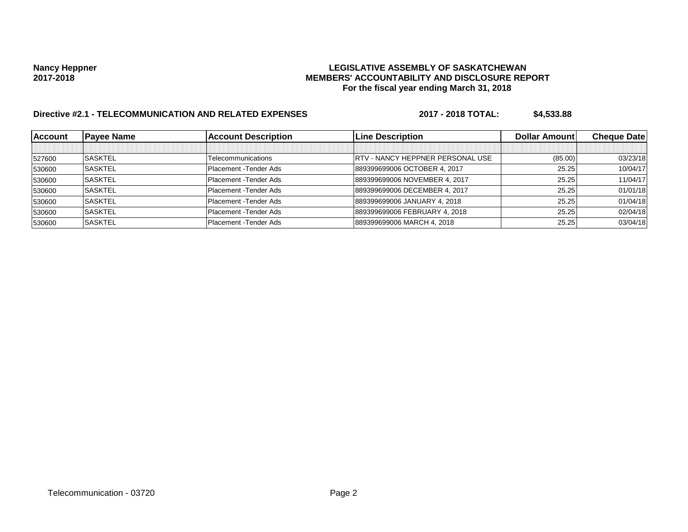# Nancy Heppner<br>LEGISLATIVE ASSEMBLY OF SASKATCHEWAN<br>MEMBERS' ACCOUNTABILITY AND DISCLOSURE REF **2017-2018 MEMBERS' ACCOUNTABILITY AND DISCLOSURE REPORT For the fiscal year ending March 31, 2018**

# **Directive #2.1 - TELECOMMUNICATION AND RELATED EXPENSES 2017 - 2018 TOTAL: \$4,533.88**

| <b>Account</b> | <b>Payee Name</b> | <b>Account Description</b> | <b>Line Description</b>                  | <b>Dollar Amount</b> | <b>Cheque Date</b> |
|----------------|-------------------|----------------------------|------------------------------------------|----------------------|--------------------|
|                |                   |                            |                                          |                      |                    |
| 527600         | <b>SASKTEL</b>    | Telecommunications         | <b>IRTV - NANCY HEPPNER PERSONAL USE</b> | (85.00)              | 03/23/18           |
| 530600         | <b>SASKTEL</b>    | Placement - Tender Ads     | 889399699006 OCTOBER 4, 2017             | 25.25                | 10/04/17           |
| 530600         | <b>SASKTEL</b>    | Placement - Tender Ads     | 889399699006 NOVEMBER 4, 2017            | 25.25                | 11/04/17           |
| 530600         | <b>SASKTEL</b>    | Placement - Tender Ads     | 889399699006 DECEMBER 4, 2017            | 25.25                | 01/01/18           |
| 530600         | <b>SASKTEL</b>    | Placement - Tender Ads     | 889399699006 JANUARY 4, 2018             | 25.25                | 01/04/18           |
| 530600         | <b>SASKTEL</b>    | Placement - Tender Ads     | 889399699006 FEBRUARY 4, 2018            | 25.25                | 02/04/18           |
| 530600         | <b>SASKTEL</b>    | Placement - Tender Ads     | 889399699006 MARCH 4, 2018               | 25.25                | 03/04/18           |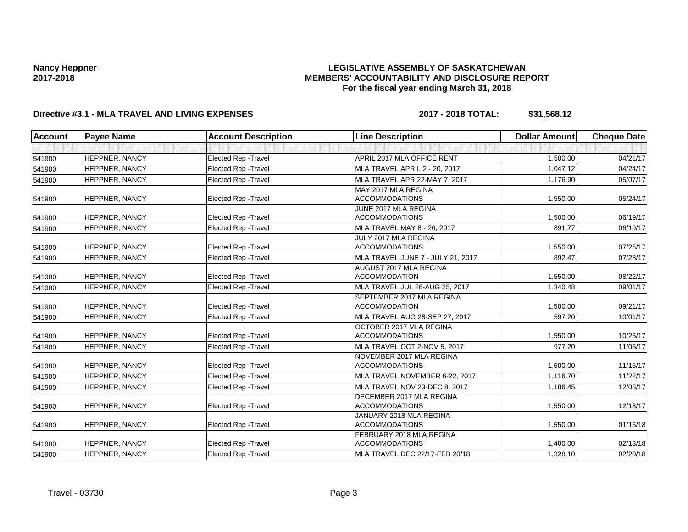## **LEGISLATIVE ASSEMBLY OF SASKATCHEWAN MEMBERS' ACCOUNTABILITY AND DISCLOSURE REPORT For the fiscal year ending March 31, 2018**

# **Directive #3.1 - MLA TRAVEL AND LIVING EXPENSES 2017 - 2018 TOTAL: \$31,568.12**

| <b>Account</b><br><b>Payee Name</b> |                       | <b>Account Description</b>  | <b>Line Description</b>                                  | <b>Dollar Amount</b> | <b>Cheque Date</b> |
|-------------------------------------|-----------------------|-----------------------------|----------------------------------------------------------|----------------------|--------------------|
|                                     |                       |                             |                                                          |                      |                    |
| 541900                              | <b>HEPPNER, NANCY</b> | <b>Elected Rep - Travel</b> | APRIL 2017 MLA OFFICE RENT                               | 1,500.00             |                    |
| 541900                              | <b>HEPPNER, NANCY</b> | <b>Elected Rep - Travel</b> | MLA TRAVEL APRIL 2 - 20, 2017                            | 1,047.12             | 04/24/17           |
| 541900                              | HEPPNER, NANCY        | <b>Elected Rep - Travel</b> | MLA TRAVEL APR 22-MAY 7, 2017                            | 1,176.90             | 05/07/17           |
|                                     |                       |                             | MAY 2017 MLA REGINA                                      |                      |                    |
| 541900                              | <b>HEPPNER, NANCY</b> | <b>Elected Rep - Travel</b> | <b>ACCOMMODATIONS</b>                                    | 1,550.00             | 05/24/17           |
|                                     |                       |                             | JUNE 2017 MLA REGINA                                     |                      |                    |
| 541900                              | <b>HEPPNER, NANCY</b> | <b>Elected Rep - Travel</b> | <b>ACCOMMODATIONS</b>                                    | 1,500.00             | 06/19/17           |
| 541900                              | <b>HEPPNER, NANCY</b> | <b>Elected Rep - Travel</b> | MLA TRAVEL MAY 8 - 26, 2017                              | 891.77               | 06/19/17           |
|                                     |                       |                             | JULY 2017 MLA REGINA                                     |                      |                    |
| 541900                              | <b>HEPPNER, NANCY</b> | <b>Elected Rep - Travel</b> | <b>ACCOMMODATIONS</b>                                    | 1,550.00             | 07/25/17           |
| 541900                              | <b>HEPPNER, NANCY</b> | <b>Elected Rep - Travel</b> | MLA TRAVEL JUNE 7 - JULY 21, 2017                        | 892.47               | 07/28/17           |
|                                     |                       |                             | AUGUST 2017 MLA REGINA                                   |                      |                    |
| 541900                              | <b>HEPPNER, NANCY</b> | <b>Elected Rep - Travel</b> | <b>ACCOMMODATION</b>                                     | 1,550.00             | 08/22/17           |
| 541900                              | <b>HEPPNER, NANCY</b> | <b>Elected Rep - Travel</b> | MLA TRAVEL JUL 26-AUG 25, 2017                           | 1,340.48             | 09/01/17           |
|                                     |                       |                             | SEPTEMBER 2017 MLA REGINA                                |                      |                    |
| 541900                              | <b>HEPPNER, NANCY</b> | <b>Elected Rep - Travel</b> | <b>ACCOMMODATION</b>                                     | 1.500.00             | 09/21/17           |
| 541900                              | HEPPNER, NANCY        | <b>Elected Rep - Travel</b> | MLA TRAVEL AUG 28-SEP 27, 2017                           | 597.20               | 10/01/17           |
| 541900                              | <b>HEPPNER, NANCY</b> | <b>Elected Rep - Travel</b> | OCTOBER 2017 MLA REGINA<br><b>ACCOMMODATIONS</b>         | 1,550.00             | 10/25/17           |
|                                     |                       |                             |                                                          |                      |                    |
| 541900                              | <b>HEPPNER, NANCY</b> | <b>Elected Rep - Travel</b> | MLA TRAVEL OCT 2-NOV 5, 2017<br>NOVEMBER 2017 MLA REGINA | 977.20               | 11/05/17           |
| 541900                              | <b>HEPPNER, NANCY</b> | <b>Elected Rep - Travel</b> | <b>ACCOMMODATIONS</b>                                    | 1,500.00             | 11/15/17           |
| 541900                              | <b>HEPPNER, NANCY</b> | <b>Elected Rep - Travel</b> | MLA TRAVEL NOVEMBER 6-22, 2017                           | 1,116.70             | 11/22/17           |
|                                     | <b>HEPPNER, NANCY</b> | <b>Elected Rep - Travel</b> | MLA TRAVEL NOV 23-DEC 8, 2017                            | 1,186.45             | 12/08/17           |
| 541900                              |                       |                             | DECEMBER 2017 MLA REGINA                                 |                      |                    |
| 541900                              | <b>HEPPNER, NANCY</b> | Elected Rep - Travel        | <b>ACCOMMODATIONS</b>                                    | 1,550.00             | 12/13/17           |
|                                     |                       |                             | JANUARY 2018 MLA REGINA                                  |                      |                    |
| 541900                              | <b>HEPPNER, NANCY</b> | <b>Elected Rep - Travel</b> | <b>ACCOMMODATIONS</b>                                    | 1,550.00             | 01/15/18           |
|                                     |                       |                             | FEBRUARY 2018 MLA REGINA                                 |                      |                    |
| 541900                              | <b>HEPPNER, NANCY</b> | Elected Rep - Travel        | <b>ACCOMMODATIONS</b>                                    | 1,400.00             | 02/13/18           |
| 541900                              | HEPPNER, NANCY        | Elected Rep - Travel        | 1,328.10<br>MLA TRAVEL DEC 22/17-FEB 20/18               |                      | 02/20/18           |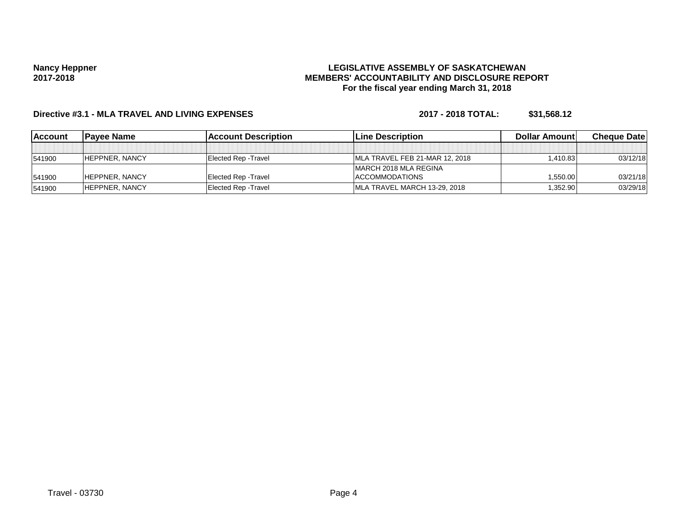## **LEGISLATIVE ASSEMBLY OF SASKATCHEWAN MEMBERS' ACCOUNTABILITY AND DISCLOSURE REPORT For the fiscal year ending March 31, 2018**

# **Directive #3.1 - MLA TRAVEL AND LIVING EXPENSES 2017 - 2018 TOTAL: \$31,568.12**

| lAccount | Pavee Name            | <b>Account Description</b>  | <b>ILine Description</b>       | <b>Dollar Amountl</b> | <b>Cheque Datel</b> |
|----------|-----------------------|-----------------------------|--------------------------------|-----------------------|---------------------|
|          |                       |                             |                                |                       |                     |
| 541900   | <b>HEPPNER, NANCY</b> | Elected Rep - Travel        | MLA TRAVEL FEB 21-MAR 12, 2018 | 1.410.83              | 03/12/18            |
|          |                       |                             | <b>IMARCH 2018 MLA REGINA</b>  |                       |                     |
| 541900   | <b>HEPPNER, NANCY</b> | <b>Elected Rep - Travel</b> | <b>ACCOMMODATIONS</b>          | 1,550.00              | 03/21/18            |
| 541900   | <b>HEPPNER, NANCY</b> | <b>Elected Rep - Travel</b> | MLA TRAVEL MARCH 13-29, 2018   | 1,352.90              | 03/29/18            |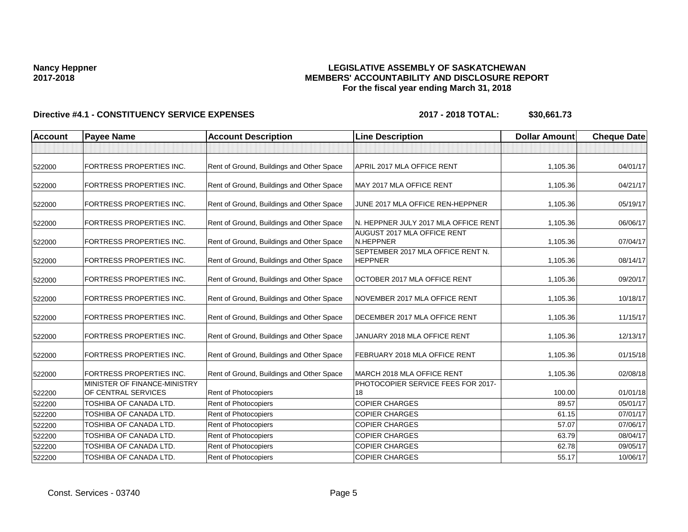## **LEGISLATIVE ASSEMBLY OF SASKATCHEWAN MEMBERS' ACCOUNTABILITY AND DISCLOSURE REPORT For the fiscal year ending March 31, 2018**

| <b>Account</b> | <b>Payee Name</b>                                               | <b>Account Description</b>                | <b>Line Description</b>                                          | <b>Dollar Amount</b> | <b>Cheque Date</b> |
|----------------|-----------------------------------------------------------------|-------------------------------------------|------------------------------------------------------------------|----------------------|--------------------|
|                |                                                                 |                                           |                                                                  |                      |                    |
| 522000         | <b>FORTRESS PROPERTIES INC.</b>                                 | Rent of Ground, Buildings and Other Space | APRIL 2017 MLA OFFICE RENT                                       | 1,105.36             | 04/01/17           |
| 522000         | <b>FORTRESS PROPERTIES INC.</b>                                 | Rent of Ground, Buildings and Other Space | MAY 2017 MLA OFFICE RENT                                         | 1,105.36             | 04/21/17           |
| 522000         | FORTRESS PROPERTIES INC.                                        | Rent of Ground, Buildings and Other Space | JUNE 2017 MLA OFFICE REN-HEPPNER                                 | 1,105.36             | 05/19/17           |
| 522000         | <b>FORTRESS PROPERTIES INC.</b>                                 | Rent of Ground, Buildings and Other Space | N. HEPPNER JULY 2017 MLA OFFICE RENT                             | 1,105.36             | 06/06/17           |
| 522000         | <b>FORTRESS PROPERTIES INC.</b>                                 | Rent of Ground, Buildings and Other Space | AUGUST 2017 MLA OFFICE RENT<br>N.HEPPNER                         | 1,105.36             | 07/04/17           |
| 522000         | <b>FORTRESS PROPERTIES INC.</b>                                 | Rent of Ground, Buildings and Other Space | SEPTEMBER 2017 MLA OFFICE RENT N.<br><b>HEPPNER</b>              | 1,105.36             | 08/14/17           |
| 522000         | <b>FORTRESS PROPERTIES INC.</b>                                 | Rent of Ground, Buildings and Other Space | OCTOBER 2017 MLA OFFICE RENT                                     | 1,105.36             | 09/20/17           |
| 522000         | <b>FORTRESS PROPERTIES INC.</b>                                 | Rent of Ground, Buildings and Other Space | NOVEMBER 2017 MLA OFFICE RENT                                    | 1,105.36             | 10/18/17           |
| 522000         | <b>FORTRESS PROPERTIES INC.</b>                                 | Rent of Ground, Buildings and Other Space | DECEMBER 2017 MLA OFFICE RENT                                    | 1,105.36             | 11/15/17           |
| 522000         | <b>FORTRESS PROPERTIES INC.</b>                                 | Rent of Ground, Buildings and Other Space | JANUARY 2018 MLA OFFICE RENT                                     | 1,105.36             | 12/13/17           |
| 522000         | FORTRESS PROPERTIES INC.                                        | Rent of Ground, Buildings and Other Space | FEBRUARY 2018 MLA OFFICE RENT                                    | 1,105.36             | 01/15/18           |
| 522000         | <b>FORTRESS PROPERTIES INC.</b><br>MINISTER OF FINANCE-MINISTRY | Rent of Ground, Buildings and Other Space | MARCH 2018 MLA OFFICE RENT<br>PHOTOCOPIER SERVICE FEES FOR 2017- | 1,105.36             | 02/08/18           |
| 522200         | OF CENTRAL SERVICES                                             | Rent of Photocopiers                      | 18                                                               | 100.00               | 01/01/18           |
| 522200         | TOSHIBA OF CANADA LTD.                                          | Rent of Photocopiers                      | <b>COPIER CHARGES</b>                                            | 89.57                | 05/01/17           |
| 522200         | TOSHIBA OF CANADA LTD.                                          | <b>Rent of Photocopiers</b>               | <b>COPIER CHARGES</b>                                            | 61.15                | 07/01/17           |
| 522200         | TOSHIBA OF CANADA LTD.                                          | Rent of Photocopiers                      | <b>COPIER CHARGES</b>                                            | 57.07                | 07/06/17           |
| 522200         | <b>TOSHIBA OF CANADA LTD.</b>                                   | Rent of Photocopiers                      | <b>COPIER CHARGES</b>                                            | 63.79                | 08/04/17           |
| 522200         | TOSHIBA OF CANADA LTD.                                          | Rent of Photocopiers                      | <b>COPIER CHARGES</b>                                            | 62.78                | 09/05/17           |
| 522200         | TOSHIBA OF CANADA LTD.                                          | Rent of Photocopiers                      | <b>COPIER CHARGES</b>                                            | 55.17                | 10/06/17           |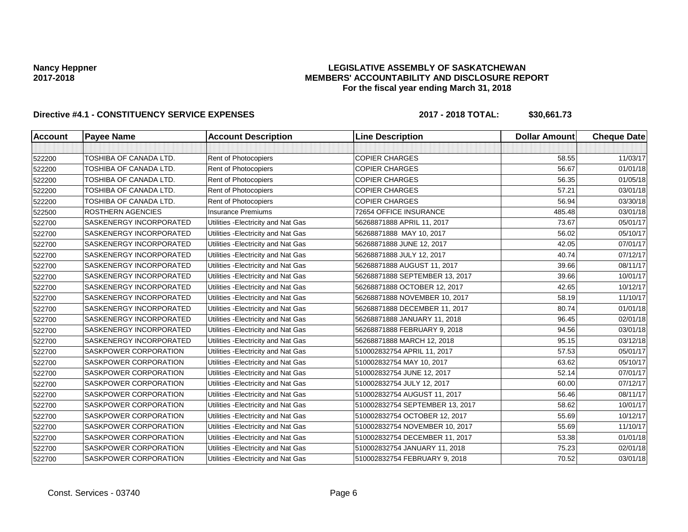## **LEGISLATIVE ASSEMBLY OF SASKATCHEWAN MEMBERS' ACCOUNTABILITY AND DISCLOSURE REPORT For the fiscal year ending March 31, 2018**

| <b>Account</b> | <b>Payee Name</b>              | <b>Account Description</b>          | <b>Line Description</b>         | <b>Dollar Amount</b> | <b>Cheque Date</b> |
|----------------|--------------------------------|-------------------------------------|---------------------------------|----------------------|--------------------|
|                |                                |                                     |                                 |                      |                    |
| 522200         | TOSHIBA OF CANADA LTD.         | Rent of Photocopiers                | <b>COPIER CHARGES</b>           | 58.55                | 11/03/17           |
| 522200         | TOSHIBA OF CANADA LTD.         | Rent of Photocopiers                | <b>COPIER CHARGES</b>           | 56.67                | 01/01/18           |
| 522200         | TOSHIBA OF CANADA LTD.         | Rent of Photocopiers                | <b>COPIER CHARGES</b>           | 56.35                | 01/05/18           |
| 522200         | TOSHIBA OF CANADA LTD.         | Rent of Photocopiers                | <b>COPIER CHARGES</b>           | 57.21                | 03/01/18           |
| 522200         | TOSHIBA OF CANADA LTD.         | Rent of Photocopiers                | <b>COPIER CHARGES</b>           | 56.94                | 03/30/18           |
| 522500         | <b>ROSTHERN AGENCIES</b>       | <b>Insurance Premiums</b>           | 72654 OFFICE INSURANCE          | 485.48               | 03/01/18           |
| 522700         | SASKENERGY INCORPORATED        | Utilities - Electricity and Nat Gas | 56268871888 APRIL 11, 2017      | 73.67                | 05/01/17           |
| 522700         | <b>SASKENERGY INCORPORATED</b> | Utilities - Electricity and Nat Gas | 56268871888 MAY 10, 2017        | 56.02                | 05/10/17           |
| 522700         | SASKENERGY INCORPORATED        | Utilities - Electricity and Nat Gas | 56268871888 JUNE 12, 2017       | 42.05                | 07/01/17           |
| 522700         | SASKENERGY INCORPORATED        | Utilities - Electricity and Nat Gas | 56268871888 JULY 12, 2017       | 40.74                | 07/12/17           |
| 522700         | SASKENERGY INCORPORATED        | Utilities - Electricity and Nat Gas | 56268871888 AUGUST 11, 2017     | 39.66                | 08/11/17           |
| 522700         | SASKENERGY INCORPORATED        | Utilities - Electricity and Nat Gas | 56268871888 SEPTEMBER 13, 2017  | 39.66                | 10/01/17           |
| 522700         | SASKENERGY INCORPORATED        | Utilities - Electricity and Nat Gas | 56268871888 OCTOBER 12, 2017    | 42.65                | 10/12/17           |
| 522700         | SASKENERGY INCORPORATED        | Utilities - Electricity and Nat Gas | 56268871888 NOVEMBER 10, 2017   | 58.19                | 11/10/17           |
| 522700         | SASKENERGY INCORPORATED        | Utilities - Electricity and Nat Gas | 56268871888 DECEMBER 11, 2017   | 80.74                | 01/01/18           |
| 522700         | <b>SASKENERGY INCORPORATED</b> | Utilities - Electricity and Nat Gas | 56268871888 JANUARY 11, 2018    | 96.45                | 02/01/18           |
| 522700         | <b>SASKENERGY INCORPORATED</b> | Utilities - Electricity and Nat Gas | 56268871888 FEBRUARY 9, 2018    | 94.56                | 03/01/18           |
| 522700         | SASKENERGY INCORPORATED        | Utilities - Electricity and Nat Gas | 56268871888 MARCH 12, 2018      | 95.15                | 03/12/18           |
| 522700         | <b>SASKPOWER CORPORATION</b>   | Utilities - Electricity and Nat Gas | 510002832754 APRIL 11, 2017     | 57.53                | 05/01/17           |
| 522700         | SASKPOWER CORPORATION          | Utilities - Electricity and Nat Gas | 510002832754 MAY 10, 2017       | 63.62                | 05/10/17           |
| 522700         | <b>SASKPOWER CORPORATION</b>   | Utilities - Electricity and Nat Gas | 510002832754 JUNE 12, 2017      | 52.14                | 07/01/17           |
| 522700         | SASKPOWER CORPORATION          | Utilities - Electricity and Nat Gas | 510002832754 JULY 12, 2017      | 60.00                | 07/12/17           |
| 522700         | <b>SASKPOWER CORPORATION</b>   | Utilities - Electricity and Nat Gas | 510002832754 AUGUST 11, 2017    | 56.46                | 08/11/17           |
| 522700         | <b>SASKPOWER CORPORATION</b>   | Utilities - Electricity and Nat Gas | 510002832754 SEPTEMBER 13, 2017 | 58.62                | 10/01/17           |
| 522700         | <b>SASKPOWER CORPORATION</b>   | Utilities - Electricity and Nat Gas | 510002832754 OCTOBER 12, 2017   | 55.69                | 10/12/17           |
| 522700         | SASKPOWER CORPORATION          | Utilities - Electricity and Nat Gas | 510002832754 NOVEMBER 10, 2017  | 55.69                | 11/10/17           |
| 522700         | <b>SASKPOWER CORPORATION</b>   | Utilities - Electricity and Nat Gas | 510002832754 DECEMBER 11, 2017  | 53.38                | 01/01/18           |
| 522700         | SASKPOWER CORPORATION          | Utilities - Electricity and Nat Gas | 510002832754 JANUARY 11, 2018   | 75.23                | 02/01/18           |
| 522700         | SASKPOWER CORPORATION          | Utilities - Electricity and Nat Gas | 510002832754 FEBRUARY 9, 2018   | 70.52                | 03/01/18           |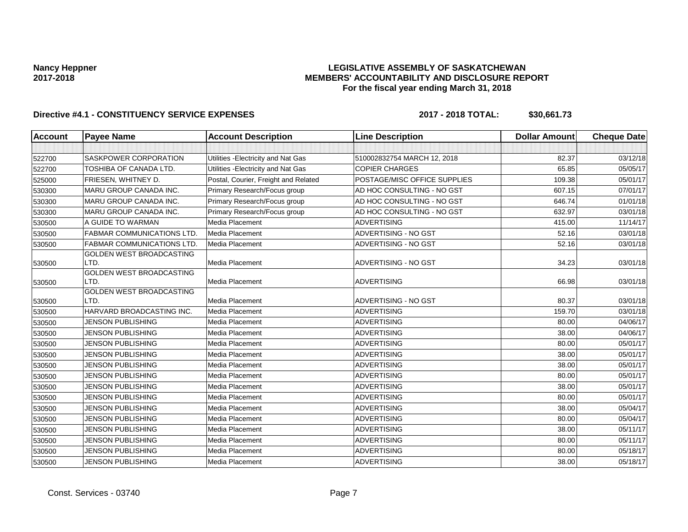## **LEGISLATIVE ASSEMBLY OF SASKATCHEWAN MEMBERS' ACCOUNTABILITY AND DISCLOSURE REPORT For the fiscal year ending March 31, 2018**

| Account | <b>Payee Name</b>                       | <b>Account Description</b>           | <b>Line Description</b>      | <b>Dollar Amount</b> | <b>Cheque Date</b> |
|---------|-----------------------------------------|--------------------------------------|------------------------------|----------------------|--------------------|
|         |                                         |                                      |                              |                      |                    |
| 522700  | SASKPOWER CORPORATION                   | Utilities - Electricity and Nat Gas  | 510002832754 MARCH 12, 2018  | 82.37                | 03/12/18           |
| 522700  | TOSHIBA OF CANADA LTD.                  | Utilities - Electricity and Nat Gas  | <b>COPIER CHARGES</b>        | 65.85                | 05/05/17           |
| 525000  | FRIESEN, WHITNEY D.                     | Postal, Courier, Freight and Related | POSTAGE/MISC OFFICE SUPPLIES | 109.38               | 05/01/17           |
| 530300  | <b>MARU GROUP CANADA INC.</b>           | Primary Research/Focus group         | AD HOC CONSULTING - NO GST   | 607.15               | 07/01/17           |
| 530300  | MARU GROUP CANADA INC.                  | Primary Research/Focus group         | AD HOC CONSULTING - NO GST   | 646.74               | 01/01/18           |
| 530300  | MARU GROUP CANADA INC.                  | Primary Research/Focus group         | AD HOC CONSULTING - NO GST   | 632.97               | 03/01/18           |
| 530500  | A GUIDE TO WARMAN                       | Media Placement                      | <b>ADVERTISING</b>           | 415.00               | 11/14/17           |
| 530500  | <b>FABMAR COMMUNICATIONS LTD</b>        | Media Placement                      | ADVERTISING - NO GST         | 52.16                | 03/01/18           |
| 530500  | <b>FABMAR COMMUNICATIONS LTD</b>        | Media Placement                      | ADVERTISING - NO GST         | 52.16                | 03/01/18           |
| 530500  | <b>GOLDEN WEST BROADCASTING</b><br>LTD. | Media Placement                      | ADVERTISING - NO GST         | 34.23                | 03/01/18           |
| 530500  | <b>GOLDEN WEST BROADCASTING</b><br>LTD. | Media Placement                      | <b>ADVERTISING</b>           | 66.98                | 03/01/18           |
|         | <b>GOLDEN WEST BROADCASTING</b>         |                                      |                              |                      |                    |
| 530500  | LTD.                                    | Media Placement                      | ADVERTISING - NO GST         | 80.37                | 03/01/18           |
| 530500  | HARVARD BROADCASTING INC.               | <b>Media Placement</b>               | <b>ADVERTISING</b>           | 159.70               | 03/01/18           |
| 530500  | <b>JENSON PUBLISHING</b>                | Media Placement                      | <b>ADVERTISING</b>           | 80.00                | 04/06/17           |
| 530500  | <b>JENSON PUBLISHING</b>                | Media Placement                      | <b>ADVERTISING</b>           | 38.00                | 04/06/17           |
| 530500  | <b>JENSON PUBLISHING</b>                | Media Placement                      | <b>ADVERTISING</b>           | 80.00                | 05/01/17           |
| 530500  | <b>JENSON PUBLISHING</b>                | Media Placement                      | <b>ADVERTISING</b>           | 38.00                | 05/01/17           |
| 530500  | <b>JENSON PUBLISHING</b>                | Media Placement                      | <b>ADVERTISING</b>           | 38.00                | 05/01/17           |
| 530500  | <b>JENSON PUBLISHING</b>                | Media Placement                      | <b>ADVERTISING</b>           | 80.00                | 05/01/17           |
| 530500  | <b>JENSON PUBLISHING</b>                | Media Placement                      | <b>ADVERTISING</b>           | 38.00                | 05/01/17           |
| 530500  | <b>JENSON PUBLISHING</b>                | Media Placement                      | <b>ADVERTISING</b>           | 80.00                | 05/01/17           |
| 530500  | <b>JENSON PUBLISHING</b>                | Media Placement                      | <b>ADVERTISING</b>           | 38.00                | 05/04/17           |
| 530500  | <b>JENSON PUBLISHING</b>                | Media Placement                      | <b>ADVERTISING</b>           | 80.00                | 05/04/17           |
| 530500  | <b>JENSON PUBLISHING</b>                | Media Placement                      | <b>ADVERTISING</b>           | 38.00                | 05/11/17           |
| 530500  | <b>JENSON PUBLISHING</b>                | Media Placement                      | <b>ADVERTISING</b>           | 80.00                | 05/11/17           |
| 530500  | <b>JENSON PUBLISHING</b>                | Media Placement                      | <b>ADVERTISING</b>           | 80.00                | 05/18/17           |
| 530500  | <b>JENSON PUBLISHING</b>                | Media Placement                      | <b>ADVERTISING</b>           | 38.00                | 05/18/17           |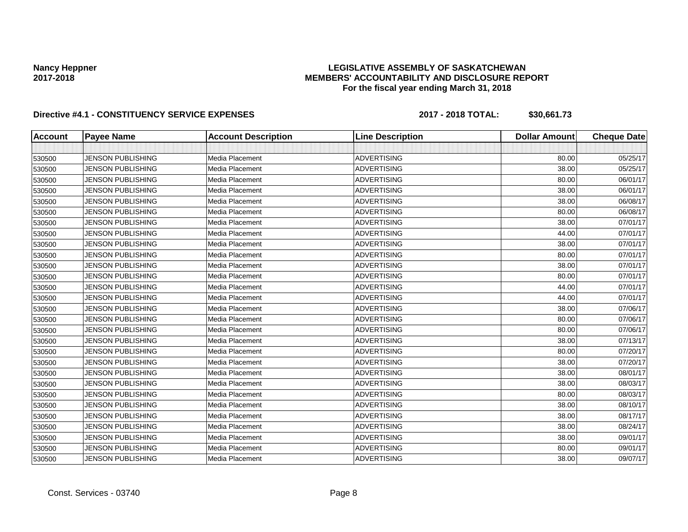## **LEGISLATIVE ASSEMBLY OF SASKATCHEWAN MEMBERS' ACCOUNTABILITY AND DISCLOSURE REPORT For the fiscal year ending March 31, 2018**

| <b>Account</b> | <b>Payee Name</b>        | <b>Account Description</b> | <b>Line Description</b> | <b>Dollar Amount</b> | <b>Cheque Date</b> |
|----------------|--------------------------|----------------------------|-------------------------|----------------------|--------------------|
|                |                          |                            |                         |                      |                    |
| 530500         | <b>JENSON PUBLISHING</b> | Media Placement            | <b>ADVERTISING</b>      | 80.00                | 05/25/17           |
| 530500         | <b>JENSON PUBLISHING</b> | Media Placement            | <b>ADVERTISING</b>      | 38.00                | 05/25/17           |
| 530500         | <b>JENSON PUBLISHING</b> | Media Placement            | <b>ADVERTISING</b>      | 80.00                | 06/01/17           |
| 530500         | JENSON PUBLISHING        | Media Placement            | <b>ADVERTISING</b>      | 38.00                | 06/01/17           |
| 530500         | <b>JENSON PUBLISHING</b> | Media Placement            | <b>ADVERTISING</b>      | 38.00                | 06/08/17           |
| 530500         | <b>JENSON PUBLISHING</b> | Media Placement            | <b>ADVERTISING</b>      | 80.00                | 06/08/17           |
| 530500         | <b>JENSON PUBLISHING</b> | Media Placement            | <b>ADVERTISING</b>      | 38.00                | 07/01/17           |
| 530500         | <b>JENSON PUBLISHING</b> | Media Placement            | <b>ADVERTISING</b>      | 44.00                | 07/01/17           |
| 530500         | <b>JENSON PUBLISHING</b> | Media Placement            | <b>ADVERTISING</b>      | 38.00                | 07/01/17           |
| 530500         | <b>JENSON PUBLISHING</b> | Media Placement            | <b>ADVERTISING</b>      | 80.00                | 07/01/17           |
| 530500         | <b>JENSON PUBLISHING</b> | Media Placement            | <b>ADVERTISING</b>      | 38.00                | 07/01/17           |
| 530500         | <b>JENSON PUBLISHING</b> | Media Placement            | <b>ADVERTISING</b>      | 80.00                | 07/01/17           |
| 530500         | <b>JENSON PUBLISHING</b> | Media Placement            | <b>ADVERTISING</b>      | 44.00                | 07/01/17           |
| 530500         | <b>JENSON PUBLISHING</b> | Media Placement            | <b>ADVERTISING</b>      | 44.00                | 07/01/17           |
| 530500         | <b>JENSON PUBLISHING</b> | Media Placement            | <b>ADVERTISING</b>      | 38.00                | 07/06/17           |
| 530500         | <b>JENSON PUBLISHING</b> | Media Placement            | <b>ADVERTISING</b>      | 80.00                | 07/06/17           |
| 530500         | <b>JENSON PUBLISHING</b> | Media Placement            | <b>ADVERTISING</b>      | 80.00                | 07/06/17           |
| 530500         | <b>JENSON PUBLISHING</b> | Media Placement            | <b>ADVERTISING</b>      | 38.00                | 07/13/17           |
| 530500         | <b>JENSON PUBLISHING</b> | Media Placement            | <b>ADVERTISING</b>      | 80.00                | 07/20/17           |
| 530500         | <b>JENSON PUBLISHING</b> | Media Placement            | <b>ADVERTISING</b>      | 38.00                | 07/20/17           |
| 530500         | <b>JENSON PUBLISHING</b> | Media Placement            | <b>ADVERTISING</b>      | 38.00                | 08/01/17           |
| 530500         | <b>JENSON PUBLISHING</b> | Media Placement            | <b>ADVERTISING</b>      | 38.00                | 08/03/17           |
| 530500         | <b>JENSON PUBLISHING</b> | Media Placement            | <b>ADVERTISING</b>      | 80.00                | 08/03/17           |
| 530500         | <b>JENSON PUBLISHING</b> | Media Placement            | <b>ADVERTISING</b>      | 38.00                | 08/10/17           |
| 530500         | <b>JENSON PUBLISHING</b> | Media Placement            | <b>ADVERTISING</b>      | 38.00                | 08/17/17           |
| 530500         | <b>JENSON PUBLISHING</b> | Media Placement            | <b>ADVERTISING</b>      | 38.00                | 08/24/17           |
| 530500         | <b>JENSON PUBLISHING</b> | Media Placement            | <b>ADVERTISING</b>      | 38.00                | 09/01/17           |
| 530500         | <b>JENSON PUBLISHING</b> | Media Placement            | <b>ADVERTISING</b>      | 80.00                | 09/01/17           |
| 530500         | <b>JENSON PUBLISHING</b> | Media Placement            | <b>ADVERTISING</b>      | 38.00                | 09/07/17           |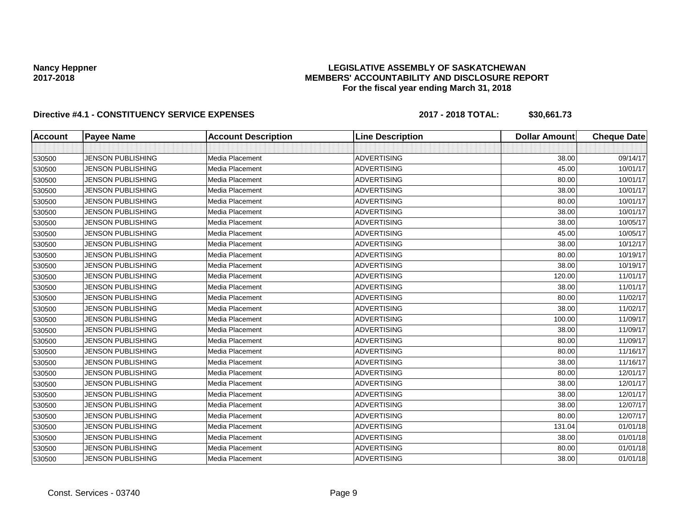## **LEGISLATIVE ASSEMBLY OF SASKATCHEWAN MEMBERS' ACCOUNTABILITY AND DISCLOSURE REPORT For the fiscal year ending March 31, 2018**

| <b>Account</b> | <b>Payee Name</b>        | <b>Account Description</b> | <b>Line Description</b> | <b>Dollar Amount</b> | <b>Cheque Date</b> |
|----------------|--------------------------|----------------------------|-------------------------|----------------------|--------------------|
|                |                          |                            |                         |                      |                    |
| 530500         | <b>JENSON PUBLISHING</b> | Media Placement            | <b>ADVERTISING</b>      | 38.00                | 09/14/17           |
| 530500         | <b>JENSON PUBLISHING</b> | Media Placement            | <b>ADVERTISING</b>      | 45.00                | 10/01/17           |
| 530500         | <b>JENSON PUBLISHING</b> | Media Placement            | <b>ADVERTISING</b>      | 80.00                | 10/01/17           |
| 530500         | JENSON PUBLISHING        | Media Placement            | <b>ADVERTISING</b>      | 38.00                | 10/01/17           |
| 530500         | <b>JENSON PUBLISHING</b> | Media Placement            | <b>ADVERTISING</b>      | 80.00                | 10/01/17           |
| 530500         | <b>JENSON PUBLISHING</b> | Media Placement            | <b>ADVERTISING</b>      | 38.00                | 10/01/17           |
| 530500         | <b>JENSON PUBLISHING</b> | Media Placement            | <b>ADVERTISING</b>      | 38.00                | 10/05/17           |
| 530500         | <b>JENSON PUBLISHING</b> | Media Placement            | <b>ADVERTISING</b>      | 45.00                | 10/05/17           |
| 530500         | <b>JENSON PUBLISHING</b> | Media Placement            | <b>ADVERTISING</b>      | 38.00                | 10/12/17           |
| 530500         | <b>JENSON PUBLISHING</b> | Media Placement            | <b>ADVERTISING</b>      | 80.00                | 10/19/17           |
| 530500         | <b>JENSON PUBLISHING</b> | Media Placement            | <b>ADVERTISING</b>      | 38.00                | 10/19/17           |
| 530500         | <b>JENSON PUBLISHING</b> | Media Placement            | <b>ADVERTISING</b>      | 120.00               | 11/01/17           |
| 530500         | <b>JENSON PUBLISHING</b> | Media Placement            | <b>ADVERTISING</b>      | 38.00                | 11/01/17           |
| 530500         | <b>JENSON PUBLISHING</b> | Media Placement            | <b>ADVERTISING</b>      | 80.00                | 11/02/17           |
| 530500         | <b>JENSON PUBLISHING</b> | Media Placement            | <b>ADVERTISING</b>      | 38.00                | 11/02/17           |
| 530500         | <b>JENSON PUBLISHING</b> | Media Placement            | <b>ADVERTISING</b>      | 100.00               | 11/09/17           |
| 530500         | <b>JENSON PUBLISHING</b> | Media Placement            | <b>ADVERTISING</b>      | 38.00                | 11/09/17           |
| 530500         | <b>JENSON PUBLISHING</b> | Media Placement            | <b>ADVERTISING</b>      | 80.00                | 11/09/17           |
| 530500         | <b>JENSON PUBLISHING</b> | Media Placement            | <b>ADVERTISING</b>      | 80.00                | 11/16/17           |
| 530500         | <b>JENSON PUBLISHING</b> | Media Placement            | <b>ADVERTISING</b>      | 38.00                | 11/16/17           |
| 530500         | <b>JENSON PUBLISHING</b> | Media Placement            | <b>ADVERTISING</b>      | 80.00                | 12/01/17           |
| 530500         | <b>JENSON PUBLISHING</b> | Media Placement            | <b>ADVERTISING</b>      | 38.00                | 12/01/17           |
| 530500         | <b>JENSON PUBLISHING</b> | Media Placement            | <b>ADVERTISING</b>      | 38.00                | 12/01/17           |
| 530500         | <b>JENSON PUBLISHING</b> | Media Placement            | <b>ADVERTISING</b>      | 38.00                | 12/07/17           |
| 530500         | <b>JENSON PUBLISHING</b> | Media Placement            | <b>ADVERTISING</b>      | 80.00                | 12/07/17           |
| 530500         | <b>JENSON PUBLISHING</b> | Media Placement            | <b>ADVERTISING</b>      | 131.04               | 01/01/18           |
| 530500         | <b>JENSON PUBLISHING</b> | Media Placement            | <b>ADVERTISING</b>      | 38.00                | 01/01/18           |
| 530500         | <b>JENSON PUBLISHING</b> | Media Placement            | <b>ADVERTISING</b>      | 80.00                | 01/01/18           |
| 530500         | <b>JENSON PUBLISHING</b> | Media Placement            | <b>ADVERTISING</b>      | 38.00                | 01/01/18           |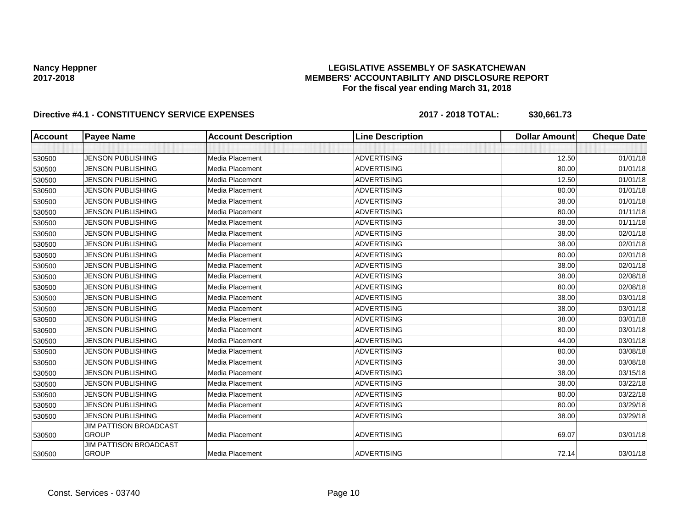## **LEGISLATIVE ASSEMBLY OF SASKATCHEWAN MEMBERS' ACCOUNTABILITY AND DISCLOSURE REPORT For the fiscal year ending March 31, 2018**

| <b>Account</b> | <b>Payee Name</b>                      | <b>Account Description</b> | <b>Line Description</b> | <b>Dollar Amount</b> | <b>Cheque Date</b> |
|----------------|----------------------------------------|----------------------------|-------------------------|----------------------|--------------------|
|                |                                        |                            |                         |                      |                    |
| 530500         | <b>JENSON PUBLISHING</b>               | Media Placement            | <b>ADVERTISING</b>      | 12.50                | 01/01/18           |
| 530500         | <b>JENSON PUBLISHING</b>               | Media Placement            | <b>ADVERTISING</b>      | 80.00                | 01/01/18           |
| 530500         | <b>JENSON PUBLISHING</b>               | Media Placement            | <b>ADVERTISING</b>      | 12.50                | 01/01/18           |
| 530500         | <b>JENSON PUBLISHING</b>               | Media Placement            | <b>ADVERTISING</b>      | 80.00                | 01/01/18           |
| 530500         | <b>JENSON PUBLISHING</b>               | Media Placement            | <b>ADVERTISING</b>      | 38.00                | 01/01/18           |
| 530500         | <b>JENSON PUBLISHING</b>               | Media Placement            | <b>ADVERTISING</b>      | 80.00                | 01/11/18           |
| 530500         | <b>JENSON PUBLISHING</b>               | Media Placement            | <b>ADVERTISING</b>      | 38.00                | 01/11/18           |
| 530500         | <b>JENSON PUBLISHING</b>               | Media Placement            | <b>ADVERTISING</b>      | 38.00                | 02/01/18           |
| 530500         | <b>JENSON PUBLISHING</b>               | Media Placement            | <b>ADVERTISING</b>      | 38.00                | 02/01/18           |
| 530500         | <b>JENSON PUBLISHING</b>               | Media Placement            | <b>ADVERTISING</b>      | 80.00                | 02/01/18           |
| 530500         | <b>JENSON PUBLISHING</b>               | Media Placement            | <b>ADVERTISING</b>      | 38.00                | 02/01/18           |
| 530500         | <b>JENSON PUBLISHING</b>               | Media Placement            | <b>ADVERTISING</b>      | 38.00                | 02/08/18           |
| 530500         | <b>JENSON PUBLISHING</b>               | Media Placement            | <b>ADVERTISING</b>      | 80.00                | 02/08/18           |
| 530500         | <b>JENSON PUBLISHING</b>               | Media Placement            | <b>ADVERTISING</b>      | 38.00                | 03/01/18           |
| 530500         | <b>JENSON PUBLISHING</b>               | Media Placement            | <b>ADVERTISING</b>      | 38.00                | 03/01/18           |
| 530500         | <b>JENSON PUBLISHING</b>               | Media Placement            | <b>ADVERTISING</b>      | 38.00                | 03/01/18           |
| 530500         | <b>JENSON PUBLISHING</b>               | Media Placement            | <b>ADVERTISING</b>      | 80.00                | 03/01/18           |
| 530500         | <b>JENSON PUBLISHING</b>               | Media Placement            | <b>ADVERTISING</b>      | 44.00                | 03/01/18           |
| 530500         | <b>JENSON PUBLISHING</b>               | Media Placement            | <b>ADVERTISING</b>      | 80.00                | 03/08/18           |
| 530500         | <b>JENSON PUBLISHING</b>               | Media Placement            | <b>ADVERTISING</b>      | 38.00                | 03/08/18           |
| 530500         | <b>JENSON PUBLISHING</b>               | Media Placement            | <b>ADVERTISING</b>      | 38.00                | 03/15/18           |
| 530500         | <b>JENSON PUBLISHING</b>               | Media Placement            | <b>ADVERTISING</b>      | 38.00                | 03/22/18           |
| 530500         | <b>JENSON PUBLISHING</b>               | Media Placement            | <b>ADVERTISING</b>      | 80.00                | 03/22/18           |
| 530500         | <b>JENSON PUBLISHING</b>               | Media Placement            | <b>ADVERTISING</b>      | 80.00                | 03/29/18           |
| 530500         | <b>JENSON PUBLISHING</b>               | Media Placement            | <b>ADVERTISING</b>      | 38.00                | 03/29/18           |
| 530500         | JIM PATTISON BROADCAST<br><b>GROUP</b> | Media Placement            | <b>ADVERTISING</b>      | 69.07                | 03/01/18           |
| 530500         | JIM PATTISON BROADCAST<br><b>GROUP</b> | Media Placement            | <b>ADVERTISING</b>      | 72.14                | 03/01/18           |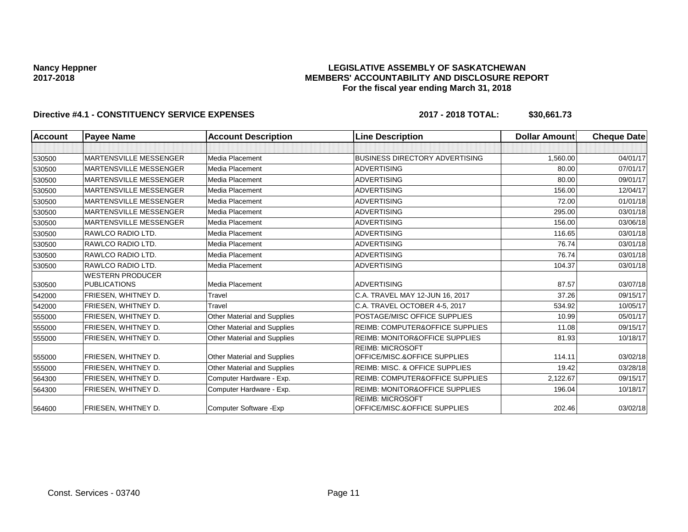## **LEGISLATIVE ASSEMBLY OF SASKATCHEWAN MEMBERS' ACCOUNTABILITY AND DISCLOSURE REPORT For the fiscal year ending March 31, 2018**

| <b>Account</b> | <b>Payee Name</b>             | <b>Account Description</b>         | <b>Line Description</b>                                 | <b>Dollar Amount</b> | <b>Cheque Date</b> |
|----------------|-------------------------------|------------------------------------|---------------------------------------------------------|----------------------|--------------------|
|                |                               |                                    |                                                         |                      |                    |
| 530500         | <b>MARTENSVILLE MESSENGER</b> | Media Placement                    | <b>BUSINESS DIRECTORY ADVERTISING</b>                   | 1,560.00             | 04/01/17           |
| 530500         | <b>MARTENSVILLE MESSENGER</b> | Media Placement                    | <b>ADVERTISING</b>                                      | 80.00                | 07/01/17           |
| 530500         | <b>MARTENSVILLE MESSENGER</b> | Media Placement                    | <b>ADVERTISING</b>                                      | 80.00                | 09/01/17           |
| 530500         | <b>MARTENSVILLE MESSENGER</b> | Media Placement                    | <b>ADVERTISING</b>                                      | 156.00               | 12/04/17           |
| 530500         | <b>MARTENSVILLE MESSENGER</b> | Media Placement                    | <b>ADVERTISING</b>                                      | 72.00                | 01/01/18           |
| 530500         | <b>MARTENSVILLE MESSENGER</b> | <b>Media Placement</b>             | <b>ADVERTISING</b>                                      | 295.00               | 03/01/18           |
| 530500         | <b>MARTENSVILLE MESSENGER</b> | Media Placement                    | <b>ADVERTISING</b>                                      | 156.00               | 03/06/18           |
| 530500         | RAWLCO RADIO LTD.             | Media Placement                    | <b>ADVERTISING</b>                                      | 116.65               | 03/01/18           |
| 530500         | RAWLCO RADIO LTD.             | Media Placement                    | <b>ADVERTISING</b>                                      | 76.74                | 03/01/18           |
| 530500         | RAWLCO RADIO LTD.             | Media Placement                    | <b>ADVERTISING</b>                                      | 76.74                | 03/01/18           |
| 530500         | RAWLCO RADIO LTD.             | <b>Media Placement</b>             | <b>ADVERTISING</b>                                      | 104.37               | 03/01/18           |
|                | <b>WESTERN PRODUCER</b>       |                                    |                                                         |                      |                    |
| 530500         | <b>PUBLICATIONS</b>           | Media Placement                    | <b>ADVERTISING</b>                                      | 87.57                | 03/07/18           |
| 542000         | FRIESEN, WHITNEY D.           | Travel                             | C.A. TRAVEL MAY 12-JUN 16, 2017                         | 37.26                | 09/15/17           |
| 542000         | FRIESEN, WHITNEY D.           | Travel                             | C.A. TRAVEL OCTOBER 4-5, 2017                           | 534.92               | 10/05/17           |
| 555000         | FRIESEN, WHITNEY D.           | Other Material and Supplies        | POSTAGE/MISC OFFICE SUPPLIES                            | 10.99                | 05/01/17           |
| 555000         | FRIESEN. WHITNEY D.           | Other Material and Supplies        | <b>REIMB: COMPUTER&amp;OFFICE SUPPLIES</b>              | 11.08                | 09/15/17           |
| 555000         | FRIESEN, WHITNEY D.           | <b>Other Material and Supplies</b> | <b>REIMB: MONITOR&amp;OFFICE SUPPLIES</b>               | 81.93                | 10/18/17           |
|                |                               |                                    | <b>REIMB: MICROSOFT</b>                                 |                      |                    |
| 555000         | FRIESEN, WHITNEY D.           | <b>Other Material and Supplies</b> | OFFICE/MISC.&OFFICE SUPPLIES                            | 114.11               | 03/02/18           |
| 555000         | FRIESEN, WHITNEY D.           | Other Material and Supplies        | <b>REIMB: MISC. &amp; OFFICE SUPPLIES</b>               | 19.42                | 03/28/18           |
| 564300         | FRIESEN, WHITNEY D.           | Computer Hardware - Exp.           | <b>REIMB: COMPUTER&amp;OFFICE SUPPLIES</b>              | 2,122.67             | 09/15/17           |
| 564300         | FRIESEN, WHITNEY D.           | Computer Hardware - Exp.           | <b>REIMB: MONITOR&amp;OFFICE SUPPLIES</b>               | 196.04               | 10/18/17           |
| 564600         | FRIESEN, WHITNEY D.           | Computer Software - Exp            | <b>REIMB: MICROSOFT</b><br>OFFICE/MISC.&OFFICE SUPPLIES | 202.46               | 03/02/18           |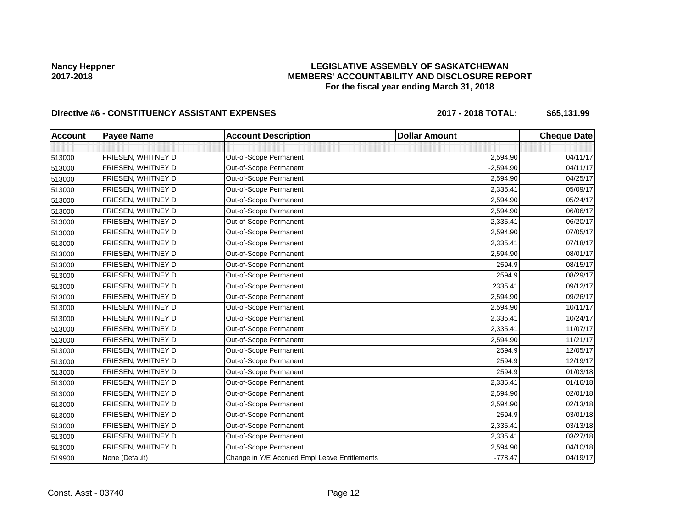## **LEGISLATIVE ASSEMBLY OF SASKATCHEWAN MEMBERS' ACCOUNTABILITY AND DISCLOSURE REPORT For the fiscal year ending March 31, 2018**

# Directive #6 - CONSTITUENCY ASSISTANT EXPENSES 2017 - 2018 TOTAL: \$65,131.99

| <b>Account</b> | <b>Payee Name</b>  | <b>Account Description</b>                    | <b>Dollar Amount</b> | <b>Cheque Date</b> |
|----------------|--------------------|-----------------------------------------------|----------------------|--------------------|
|                |                    |                                               |                      |                    |
| 513000         | FRIESEN, WHITNEY D | Out-of-Scope Permanent                        | 2,594.90             | 04/11/17           |
| 513000         | FRIESEN, WHITNEY D | Out-of-Scope Permanent                        | $-2,594.90$          | 04/11/17           |
| 513000         | FRIESEN, WHITNEY D | Out-of-Scope Permanent                        | 2,594.90             | 04/25/17           |
| 513000         | FRIESEN, WHITNEY D | Out-of-Scope Permanent                        | 2,335.41             | 05/09/17           |
| 513000         | FRIESEN, WHITNEY D | Out-of-Scope Permanent                        | 2.594.90             | 05/24/17           |
| 513000         | FRIESEN, WHITNEY D | Out-of-Scope Permanent                        | 2,594.90             | 06/06/17           |
| 513000         | FRIESEN, WHITNEY D | Out-of-Scope Permanent                        | 2,335.41             | 06/20/17           |
| 513000         | FRIESEN, WHITNEY D | Out-of-Scope Permanent                        | 2,594.90             | 07/05/17           |
| 513000         | FRIESEN, WHITNEY D | Out-of-Scope Permanent                        | 2,335.41             | 07/18/17           |
| 513000         | FRIESEN, WHITNEY D | Out-of-Scope Permanent                        | 2,594.90             | 08/01/17           |
| 513000         | FRIESEN, WHITNEY D | Out-of-Scope Permanent                        | 2594.9               | 08/15/17           |
| 513000         | FRIESEN, WHITNEY D | Out-of-Scope Permanent                        | 2594.9               | 08/29/17           |
| 513000         | FRIESEN, WHITNEY D | Out-of-Scope Permanent                        | 2335.41              | 09/12/17           |
| 513000         | FRIESEN, WHITNEY D | Out-of-Scope Permanent                        | 2,594.90             | 09/26/17           |
| 513000         | FRIESEN, WHITNEY D | Out-of-Scope Permanent                        | 2,594.90             | 10/11/17           |
| 513000         | FRIESEN, WHITNEY D | Out-of-Scope Permanent                        | 2,335.41             | 10/24/17           |
| 513000         | FRIESEN, WHITNEY D | Out-of-Scope Permanent                        | 2,335.41             | 11/07/17           |
| 513000         | FRIESEN, WHITNEY D | Out-of-Scope Permanent                        | 2,594.90             | 11/21/17           |
| 513000         | FRIESEN, WHITNEY D | Out-of-Scope Permanent                        | 2594.9               | 12/05/17           |
| 513000         | FRIESEN, WHITNEY D | Out-of-Scope Permanent                        | 2594.9               | 12/19/17           |
| 513000         | FRIESEN, WHITNEY D | Out-of-Scope Permanent                        | 2594.9               | 01/03/18           |
| 513000         | FRIESEN, WHITNEY D | Out-of-Scope Permanent                        | 2,335.41             | 01/16/18           |
| 513000         | FRIESEN, WHITNEY D | Out-of-Scope Permanent                        | 2,594.90             | 02/01/18           |
| 513000         | FRIESEN, WHITNEY D | Out-of-Scope Permanent                        | 2,594.90             | 02/13/18           |
| 513000         | FRIESEN, WHITNEY D | Out-of-Scope Permanent                        | 2594.9               | 03/01/18           |
| 513000         | FRIESEN, WHITNEY D | Out-of-Scope Permanent                        | 2,335.41             | 03/13/18           |
| 513000         | FRIESEN, WHITNEY D | Out-of-Scope Permanent                        | 2,335.41             | 03/27/18           |
| 513000         | FRIESEN, WHITNEY D | Out-of-Scope Permanent                        | 2,594.90             | 04/10/18           |
| 519900         | None (Default)     | Change in Y/E Accrued Empl Leave Entitlements | $-778.47$            | 04/19/17           |